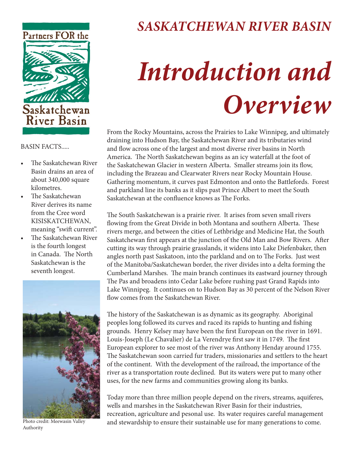

## *SASKATCHEWAN RIVER BASIN*

## *Introduction and Overview*

From the Rocky Mountains, across the Prairies to Lake Winnipeg, and ultimately draining into Hudson Bay, the Saskatchewan River and its tributaries wind and flow across one of the largest and most diverse river basins in North America. The North Saskatchewan begins as an icy waterfall at the foot of the Saskatchewan Glacier in western Alberta. Smaller streams join its flow, including the Brazeau and Clearwater Rivers near Rocky Mountain House. Gathering momentum, it curves past Edmonton and onto the Battlefords. Forest and parkland line its banks as it slips past Prince Albert to meet the South Saskatchewan at the confluence knows as The Forks.

The South Saskatchewan is a prairie river. It arises from seven small rivers flowing from the Great Divide in both Montana and southern Alberta. These rivers merge, and between the cities of Lethbridge and Medicine Hat, the South Saskatchewan first appears at the junction of the Old Man and Bow Rivers. After cutting its way through prairie grasslands, it widens into Lake Diefenbaker, then angles north past Saskatoon, into the parkland and on to The Forks. Just west of the Manitoba/Saskatchewan border, the river divides into a delta forming the Cumberland Marshes. The main branch continues its eastward journey through The Pas and broadens into Cedar Lake before rushing past Grand Rapids into Lake Winnipeg. It continues on to Hudson Bay as 30 percent of the Nelson River flow comes from the Saskatchewan River.

The history of the Saskatchewan is as dynamic as its geography. Aboriginal peoples long followed its curves and raced its rapids to hunting and fishing grounds. Henry Kelsey may have been the first European on the river in 1691. Louis-Joseph (Le Chavalier) de La Verendrye first saw it in 1749. The first European explorer to see most of the river was Anthony Henday around 1755. The Saskatchewan soon carried fur traders, missionaries and settlers to the heart of the continent. With the development of the railroad, the importance of the river as a transportation route declined. But its waters were put to many other uses, for the new farms and communities growing along its banks.

Today more than three million people depend on the rivers, streams, aquiferes, wells and marshes in the Saskatchewan River Basin for their industries, recreation, agriculture and pesonal use. Its water requires careful management and stewardship to ensure their sustainable use for many generations to come.

BASIN FACTS.....

- The Saskatchewan River Basin drains an area of about 340,000 square kilometres.
- The Saskatchewan River derives its name from the Cree word KISISKATCHEWAN, meaning "swift current".
- The Saskatchewan River is the fourth longest in Canada. The North Saskatchewan is the seventh longest.



Photo credit: Meewasin Valley Authority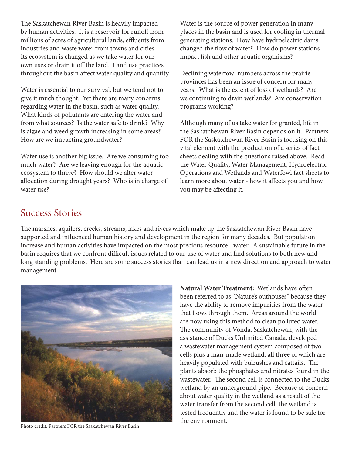The Saskatchewan River Basin is heavily impacted by human activities. It is a reservoir for runoff from millions of acres of agricultural lands, effluents from industries and waste water from towns and cities. Its ecosystem is changed as we take water for our own uses or drain it off the land. Land use practices throughout the basin affect water quality and quantity.

Water is essential to our survival, but we tend not to give it much thought. Yet there are many concerns regarding water in the basin, such as water quality. What kinds of pollutants are entering the water and from what sources? Is the water safe to drink? Why is algae and weed growth increasing in some areas? How are we impacting groundwater?

Water use is another big issue. Are we consuming too much water? Are we leaving enough for the aquatic ecosystem to thrive? How should we alter water allocation during drought years? Who is in charge of water use?

Water is the source of power generation in many places in the basin and is used for cooling in thermal generating stations. How have hydroelectric dams changed the flow of water? How do power stations impact fish and other aquatic organisms?

Declining waterfowl numbers across the prairie provinces has been an issue of concern for many years. What is the extent of loss of wetlands? Are we continuing to drain wetlands? Are conservation programs working?

Although many of us take water for granted, life in the Saskatchewan River Basin depends on it. Partners FOR the Saskatchewan River Basin is focusing on this vital element with the production of a series of fact sheets dealing with the questions raised above. Read the Water Quality, Water Management, Hydroelectric Operations and Wetlands and Waterfowl fact sheets to learn more about water - how it affects you and how you may be affecting it.

## Success Stories

The marshes, aquifers, creeks, streams, lakes and rivers which make up the Saskatchewan River Basin have supported and influenced human history and development in the region for many decades. But population increase and human activities have impacted on the most precious resource - water. A sustainable future in the basin requires that we confront difficult issues related to our use of water and find solutions to both new and long standing problems. Here are some success stories than can lead us in a new direction and approach to water management.



Photo credit: Partners FOR the Saskatchewan River Basin

**Natural Water Treatment: Wetlands have often** been referred to as "Nature's outhouses" because they have the ability to remove impurities from the water that flows through them. Areas around the world are now using this method to clean polluted water. The community of Vonda, Saskatchewan, with the assistance of Ducks Unlimited Canada, developed a wastewater management system composed of two cells plus a man-made wetland, all three of which are heavily populated with bulrushes and cattails. The plants absorb the phosphates and nitrates found in the wastewater. The second cell is connected to the Ducks wetland by an underground pipe. Because of concern about water quality in the wetland as a result of the water transfer from the second cell, the wetland is tested frequently and the water is found to be safe for the environment.